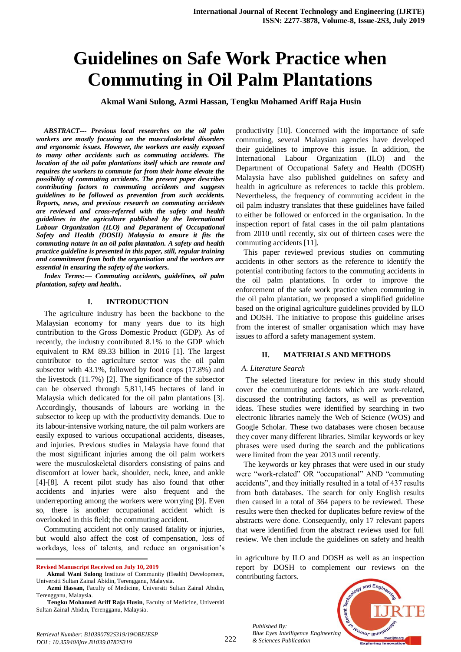# **Guidelines on Safe Work Practice when Commuting in Oil Palm Plantations**

**Akmal Wani Sulong, Azmi Hassan, Tengku Mohamed Ariff Raja Husin**

*ABSTRACT--- Previous local researches on the oil palm workers are mostly focusing on the musculoskeletal disorders and ergonomic issues. However, the workers are easily exposed to many other accidents such as commuting accidents. The location of the oil palm plantations itself which are remote and requires the workers to commute far from their home elevate the possibility of commuting accidents. The present paper describes contributing factors to commuting accidents and suggests guidelines to be followed as prevention from such accidents. Reports, news, and previous research on commuting accidents are reviewed and cross-referred with the safety and health guidelines in the agriculture published by the International Labour Organization (ILO) and Department of Occupational Safety and Health (DOSH) Malaysia to ensure it fits the commuting nature in an oil palm plantation. A safety and health practice guideline is presented in this paper, still, regular training and commitment from both the organisation and the workers are essential in ensuring the safety of the workers.*

*Index Terms:— Commuting accidents, guidelines, oil palm plantation, safety and health..*

#### **I. INTRODUCTION**

The agriculture industry has been the backbone to the Malaysian economy for many years due to its high contribution to the Gross Domestic Product (GDP). As of recently, the industry contributed 8.1% to the GDP which equivalent to RM 89.33 billion in 2016 [1]. The largest contributor to the agriculture sector was the oil palm subsector with 43.1%, followed by food crops (17.8%) and the livestock (11.7%) [2]. The significance of the subsector can be observed through 5,811,145 hectares of land in Malaysia which dedicated for the oil palm plantations [3]. Accordingly, thousands of labours are working in the subsector to keep up with the productivity demands. Due to its labour-intensive working nature, the oil palm workers are easily exposed to various occupational accidents, diseases, and injuries. Previous studies in Malaysia have found that the most significant injuries among the oil palm workers were the musculoskeletal disorders consisting of pains and discomfort at lower back, shoulder, neck, knee, and ankle [4]-[8]. A recent pilot study has also found that other accidents and injuries were also frequent and the underreporting among the workers were worrying [9]. Even so, there is another occupational accident which is overlooked in this field; the commuting accident.

Commuting accident not only caused fatality or injuries, but would also affect the cost of compensation, loss of workdays, loss of talents, and reduce an organisation's

**Revised Manuscript Received on July 10, 2019**

 $\overline{a}$ 

productivity [10]. Concerned with the importance of safe commuting, several Malaysian agencies have developed their guidelines to improve this issue. In addition, the International Labour Organization (ILO) and the Department of Occupational Safety and Health (DOSH) Malaysia have also published guidelines on safety and health in agriculture as references to tackle this problem. Nevertheless, the frequency of commuting accident in the oil palm industry translates that these guidelines have failed to either be followed or enforced in the organisation. In the inspection report of fatal cases in the oil palm plantations from 2010 until recently, six out of thirteen cases were the commuting accidents [11].

This paper reviewed previous studies on commuting accidents in other sectors as the reference to identify the potential contributing factors to the commuting accidents in the oil palm plantations. In order to improve the enforcement of the safe work practice when commuting in the oil palm plantation, we proposed a simplified guideline based on the original agriculture guidelines provided by ILO and DOSH. The initiative to propose this guideline arises from the interest of smaller organisation which may have issues to afford a safety management system.

#### **II. MATERIALS AND METHODS**

#### *A. Literature Search*

The selected literature for review in this study should cover the commuting accidents which are work-related, discussed the contributing factors, as well as prevention ideas. These studies were identified by searching in two electronic libraries namely the Web of Science (WOS) and Google Scholar. These two databases were chosen because they cover many different libraries. Similar keywords or key phrases were used during the search and the publications were limited from the year 2013 until recently.

The keywords or key phrases that were used in our study were "work-related" OR "occupational" AND "commuting accidents", and they initially resulted in a total of 437 results from both databases. The search for only English results then caused in a total of 364 papers to be reviewed. These results were then checked for duplicates before review of the abstracts were done. Consequently, only 17 relevant papers that were identified from the abstract reviews used for full review. We then include the guidelines on safety and health

in agriculture by ILO and DOSH as well as an inspection report by DOSH to complement our reviews on the contributing factors.

*Published By: Blue Eyes Intelligence Engineering & Sciences Publication* 



**Akmal Wani Sulong** Institute of Community (Health) Development, Universiti Sultan Zainal Abidin, Terengganu, Malaysia.

**Azmi Hassan,** Faculty of Medicine, Universiti Sultan Zainal Abidin, Terengganu, Malaysia.

**Tengku Mohamed Ariff Raja Husin**, Faculty of Medicine, Universiti Sultan Zainal Abidin, Terengganu, Malaysia.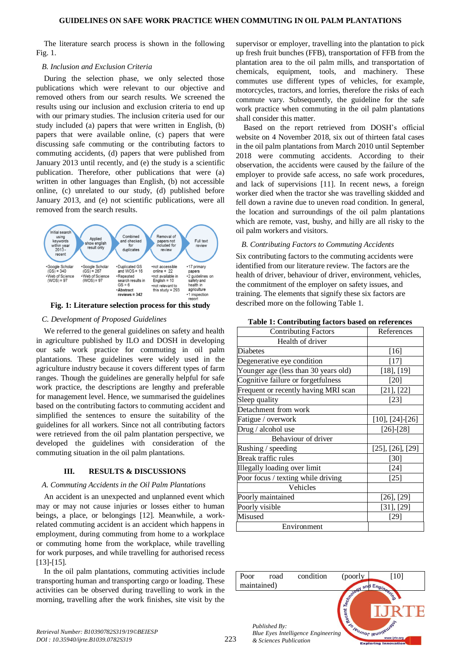The literature search process is shown in the following Fig. 1.

#### *B. Inclusion and Exclusion Criteria*

During the selection phase, we only selected those publications which were relevant to our objective and removed others from our search results. We screened the results using our inclusion and exclusion criteria to end up with our primary studies. The inclusion criteria used for our study included (a) papers that were written in English, (b) papers that were available online, (c) papers that were discussing safe commuting or the contributing factors to commuting accidents, (d) papers that were published from January 2013 until recently, and (e) the study is a scientific publication. Therefore, other publications that were (a) written in other languages than English, (b) not accessible online, (c) unrelated to our study, (d) published before January 2013, and (e) not scientific publications, were all removed from the search results.



**Fig. 1: Literature selection process for this study**

#### *C. Development of Proposed Guidelines*

We referred to the general guidelines on safety and health in agriculture published by ILO and DOSH in developing our safe work practice for commuting in oil palm plantations. These guidelines were widely used in the agriculture industry because it covers different types of farm ranges. Though the guidelines are generally helpful for safe work practice, the descriptions are lengthy and preferable for management level. Hence, we summarised the guidelines based on the contributing factors to commuting accident and simplified the sentences to ensure the suitability of the guidelines for all workers. Since not all contributing factors were retrieved from the oil palm plantation perspective, we developed the guidelines with consideration of the commuting situation in the oil palm plantations.

## **III. RESULTS & DISCUSSIONS**

#### *A. Commuting Accidents in the Oil Palm Plantations*

An accident is an unexpected and unplanned event which may or may not cause injuries or losses either to human beings, a place, or belongings [12]. Meanwhile, a workrelated commuting accident is an accident which happens in employment, during commuting from home to a workplace or commuting home from the workplace, while travelling for work purposes, and while travelling for authorised recess [13]-[15].

In the oil palm plantations, commuting activities include transporting human and transporting cargo or loading. These activities can be observed during travelling to work in the morning, travelling after the work finishes, site visit by the

supervisor or employer, travelling into the plantation to pick up fresh fruit bunches (FFB), transportation of FFB from the plantation area to the oil palm mills, and transportation of chemicals, equipment, tools, and machinery. These commutes use different types of vehicles, for example, motorcycles, tractors, and lorries, therefore the risks of each commute vary. Subsequently, the guideline for the safe work practice when commuting in the oil palm plantations shall consider this matter.

Based on the report retrieved from DOSH's official website on 4 November 2018, six out of thirteen fatal cases in the oil palm plantations from March 2010 until September 2018 were commuting accidents. According to their observation, the accidents were caused by the failure of the employer to provide safe access, no safe work procedures, and lack of supervisions [11]. In recent news, a foreign worker died when the tractor she was travelling skidded and fell down a ravine due to uneven road condition. In general, the location and surroundings of the oil palm plantations which are remote, vast, bushy, and hilly are all risky to the oil palm workers and visitors.

#### *B. Contributing Factors to Commuting Accidents*

Six contributing factors to the commuting accidents were identified from our literature review. The factors are the health of driver, behaviour of driver, environment, vehicles, the commitment of the employer on safety issues, and training. The elements that signify these six factors are described more on the following Table 1.

| <b>Contributing Factors</b>          | References               |
|--------------------------------------|--------------------------|
| Health of driver                     |                          |
| <b>Diabetes</b>                      | [16]                     |
| Degenerative eye condition           | $[17]$                   |
| Younger age (less than 30 years old) | $[18]$ , $[19]$          |
| Cognitive failure or forgetfulness   | $[20]$                   |
| Frequent or recently having MRI scan | [21], [22]               |
| Sleep quality                        | [23]                     |
| Detachment from work                 |                          |
| Fatigue / overwork                   | $[10], [24]-[26]$        |
| Drug / alcohol use                   | $[26]$ - $[28]$          |
| Behaviour of driver                  |                          |
| Rushing / speeding                   | $[25]$ , $[26]$ , $[29]$ |
| <b>Break traffic rules</b>           | $[30]$                   |
| Illegally loading over limit         | $[24]$                   |
| Poor focus / texting while driving   | $[25]$                   |
| Vehicles                             |                          |
| Poorly maintained                    | $[26]$ , $[29]$          |
| Poorly visible                       | [31], [29]               |
| Misused                              | [29]                     |
| Environment                          |                          |

#### **Table 1: Contributing factors based on references**



*Retrieval Number: B10390782S319/19©BEIESP DOI : 10.35940/ijrte.B1039.0782S319*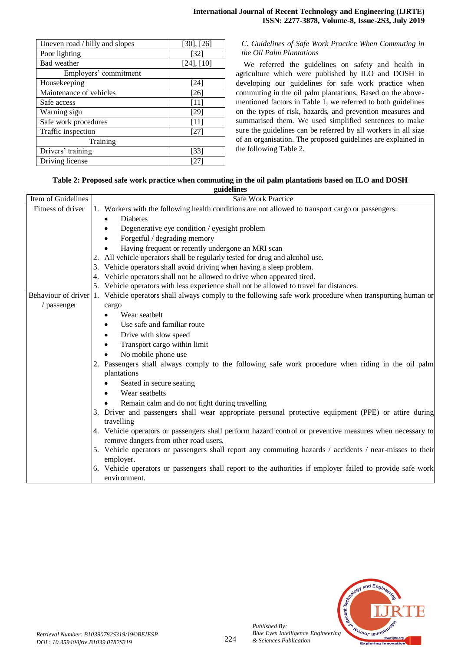| Uneven road / hilly and slopes | $[30]$ , $[26]$   |
|--------------------------------|-------------------|
| Poor lighting                  | $\left[32\right]$ |
| Bad weather                    | $[24]$ , $[10]$   |
| Employers' commitment          |                   |
| Housekeeping                   | [24]              |
| Maintenance of vehicles        | [26]              |
| Safe access                    | $[11]$            |
| Warning sign                   | [29]              |
| Safe work procedures           | $[11]$            |
| Traffic inspection             | [27]              |
| Training                       |                   |
| Drivers' training              | $\left[33\right]$ |
| Driving license                | 127               |

## *C. Guidelines of Safe Work Practice When Commuting in the Oil Palm Plantations*

We referred the guidelines on safety and health in agriculture which were published by ILO and DOSH in developing our guidelines for safe work practice when commuting in the oil palm plantations. Based on the abovementioned factors in Table 1, we referred to both guidelines on the types of risk, hazards, and prevention measures and summarised them. We used simplified sentences to make sure the guidelines can be referred by all workers in all size of an organisation. The proposed guidelines are explained in the following Table 2.

# **Table 2: Proposed safe work practice when commuting in the oil palm plantations based on ILO and DOSH**

|                    | guidelines                                                                                                                   |  |  |  |  |
|--------------------|------------------------------------------------------------------------------------------------------------------------------|--|--|--|--|
| Item of Guidelines | <b>Safe Work Practice</b>                                                                                                    |  |  |  |  |
| Fitness of driver  | 1. Workers with the following health conditions are not allowed to transport cargo or passengers:                            |  |  |  |  |
|                    | Diabetes                                                                                                                     |  |  |  |  |
|                    | Degenerative eye condition / eyesight problem                                                                                |  |  |  |  |
|                    | Forgetful / degrading memory                                                                                                 |  |  |  |  |
|                    | Having frequent or recently undergone an MRI scan                                                                            |  |  |  |  |
|                    | All vehicle operators shall be regularly tested for drug and alcohol use.                                                    |  |  |  |  |
|                    | Vehicle operators shall avoid driving when having a sleep problem.                                                           |  |  |  |  |
|                    | Vehicle operators shall not be allowed to drive when appeared tired.<br>4.                                                   |  |  |  |  |
|                    | 5. Vehicle operators with less experience shall not be allowed to travel far distances.                                      |  |  |  |  |
|                    | Behaviour of driver 1. Vehicle operators shall always comply to the following safe work procedure when transporting human or |  |  |  |  |
| / passenger        | cargo                                                                                                                        |  |  |  |  |
|                    | Wear seathelt                                                                                                                |  |  |  |  |
|                    | Use safe and familiar route                                                                                                  |  |  |  |  |
|                    | Drive with slow speed                                                                                                        |  |  |  |  |
|                    | Transport cargo within limit                                                                                                 |  |  |  |  |
|                    | No mobile phone use                                                                                                          |  |  |  |  |
|                    | 2. Passengers shall always comply to the following safe work procedure when riding in the oil palm                           |  |  |  |  |
|                    | plantations                                                                                                                  |  |  |  |  |
|                    | Seated in secure seating                                                                                                     |  |  |  |  |
|                    | Wear seathelts                                                                                                               |  |  |  |  |
|                    | Remain calm and do not fight during travelling                                                                               |  |  |  |  |
|                    | 3. Driver and passengers shall wear appropriate personal protective equipment (PPE) or attire during                         |  |  |  |  |
|                    | travelling                                                                                                                   |  |  |  |  |
|                    | 4. Vehicle operators or passengers shall perform hazard control or preventive measures when necessary to                     |  |  |  |  |
|                    | remove dangers from other road users.                                                                                        |  |  |  |  |
|                    | 5. Vehicle operators or passengers shall report any commuting hazards / accidents / near-misses to their                     |  |  |  |  |
|                    | employer.                                                                                                                    |  |  |  |  |
|                    | 6. Vehicle operators or passengers shall report to the authorities if employer failed to provide safe work                   |  |  |  |  |
|                    | environment.                                                                                                                 |  |  |  |  |



*Published By:*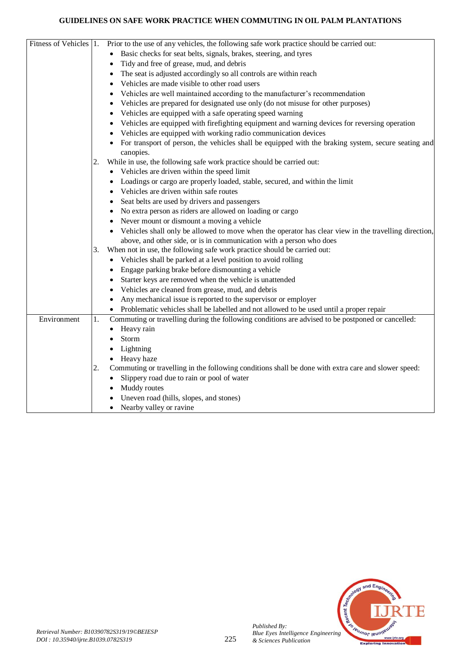# **GUIDELINES ON SAFE WORK PRACTICE WHEN COMMUTING IN OIL PALM PLANTATIONS**

| Fitness of Vehicles 1. |    | Prior to the use of any vehicles, the following safe work practice should be carried out:                        |
|------------------------|----|------------------------------------------------------------------------------------------------------------------|
|                        |    | Basic checks for seat belts, signals, brakes, steering, and tyres                                                |
|                        |    | Tidy and free of grease, mud, and debris                                                                         |
|                        |    | The seat is adjusted accordingly so all controls are within reach                                                |
|                        |    | Vehicles are made visible to other road users                                                                    |
|                        |    | Vehicles are well maintained according to the manufacturer's recommendation                                      |
|                        |    | Vehicles are prepared for designated use only (do not misuse for other purposes)<br>٠                            |
|                        |    | Vehicles are equipped with a safe operating speed warning<br>٠                                                   |
|                        |    | Vehicles are equipped with firefighting equipment and warning devices for reversing operation                    |
|                        |    | Vehicles are equipped with working radio communication devices                                                   |
|                        |    | For transport of person, the vehicles shall be equipped with the braking system, secure seating and<br>canopies. |
|                        | 2. | While in use, the following safe work practice should be carried out:                                            |
|                        |    | Vehicles are driven within the speed limit<br>٠                                                                  |
|                        |    | Loadings or cargo are properly loaded, stable, secured, and within the limit                                     |
|                        |    | Vehicles are driven within safe routes                                                                           |
|                        |    | Seat belts are used by drivers and passengers                                                                    |
|                        |    | No extra person as riders are allowed on loading or cargo                                                        |
|                        |    | Never mount or dismount a moving a vehicle                                                                       |
|                        |    | Vehicles shall only be allowed to move when the operator has clear view in the travelling direction,             |
|                        |    | above, and other side, or is in communication with a person who does                                             |
|                        | 3. | When not in use, the following safe work practice should be carried out:                                         |
|                        |    | Vehicles shall be parked at a level position to avoid rolling                                                    |
|                        |    | Engage parking brake before dismounting a vehicle<br>$\bullet$                                                   |
|                        |    | Starter keys are removed when the vehicle is unattended<br>٠                                                     |
|                        |    | Vehicles are cleaned from grease, mud, and debris<br>$\bullet$                                                   |
|                        |    | Any mechanical issue is reported to the supervisor or employer                                                   |
|                        |    | Problematic vehicles shall be labelled and not allowed to be used until a proper repair                          |
| Environment            | 1. | Commuting or travelling during the following conditions are advised to be postponed or cancelled:                |
|                        |    | Heavy rain                                                                                                       |
|                        |    | Storm                                                                                                            |
|                        |    | Lightning                                                                                                        |
|                        |    | Heavy haze                                                                                                       |
|                        | 2. | Commuting or travelling in the following conditions shall be done with extra care and slower speed:              |
|                        |    | Slippery road due to rain or pool of water                                                                       |
|                        |    | Muddy routes                                                                                                     |
|                        |    | Uneven road (hills, slopes, and stones)                                                                          |
|                        |    | Nearby valley or ravine                                                                                          |



*Published By:*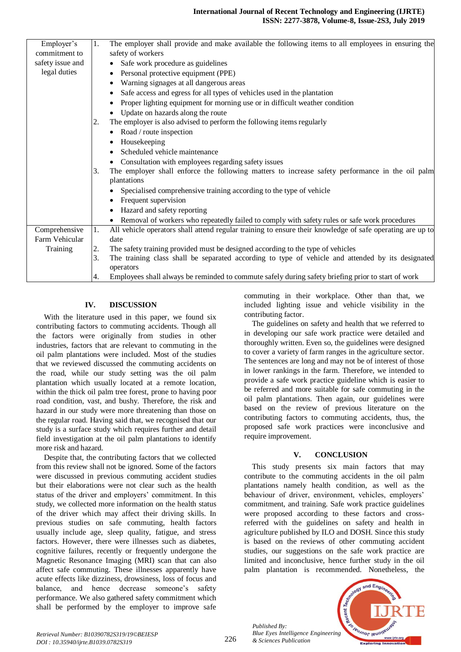### **International Journal of Recent Technology and Engineering (IJRTE) ISSN: 2277-3878, Volume-8, Issue-2S3, July 2019**

| Employer's<br>1.<br>The employer shall provide and make available the following items to all employees in ensuring the<br>safety of workers<br>commitment to<br>safety issue and<br>• Safe work procedure as guidelines<br>legal duties<br>Personal protective equipment (PPE) |  |
|--------------------------------------------------------------------------------------------------------------------------------------------------------------------------------------------------------------------------------------------------------------------------------|--|
|                                                                                                                                                                                                                                                                                |  |
|                                                                                                                                                                                                                                                                                |  |
|                                                                                                                                                                                                                                                                                |  |
|                                                                                                                                                                                                                                                                                |  |
| Warning signages at all dangerous areas                                                                                                                                                                                                                                        |  |
| Safe access and egress for all types of vehicles used in the plantation                                                                                                                                                                                                        |  |
| Proper lighting equipment for morning use or in difficult weather condition                                                                                                                                                                                                    |  |
| Update on hazards along the route                                                                                                                                                                                                                                              |  |
| The employer is also advised to perform the following items regularly<br>2.                                                                                                                                                                                                    |  |
| • Road / route inspection                                                                                                                                                                                                                                                      |  |
| Housekeeping                                                                                                                                                                                                                                                                   |  |
| Scheduled vehicle maintenance                                                                                                                                                                                                                                                  |  |
| Consultation with employees regarding safety issues                                                                                                                                                                                                                            |  |
| The employer shall enforce the following matters to increase safety performance in the oil palm<br>3.                                                                                                                                                                          |  |
| plantations                                                                                                                                                                                                                                                                    |  |
| Specialised comprehensive training according to the type of vehicle                                                                                                                                                                                                            |  |
| Frequent supervision                                                                                                                                                                                                                                                           |  |
| Hazard and safety reporting                                                                                                                                                                                                                                                    |  |
| • Removal of workers who repeatedly failed to comply with safety rules or safe work procedures                                                                                                                                                                                 |  |
| Comprehensive<br>1.<br>All vehicle operators shall attend regular training to ensure their knowledge of safe operating are up to                                                                                                                                               |  |
| Farm Vehicular<br>date                                                                                                                                                                                                                                                         |  |
| The safety training provided must be designed according to the type of vehicles<br>Training<br>2.                                                                                                                                                                              |  |
| 3.<br>The training class shall be separated according to type of vehicle and attended by its designated                                                                                                                                                                        |  |
| operators                                                                                                                                                                                                                                                                      |  |
| Employees shall always be reminded to commute safely during safety briefing prior to start of work<br>4.                                                                                                                                                                       |  |

## **IV. DISCUSSION**

With the literature used in this paper, we found six contributing factors to commuting accidents. Though all the factors were originally from studies in other industries, factors that are relevant to commuting in the oil palm plantations were included. Most of the studies that we reviewed discussed the commuting accidents on the road, while our study setting was the oil palm plantation which usually located at a remote location, within the thick oil palm tree forest, prone to having poor road condition, vast, and bushy. Therefore, the risk and hazard in our study were more threatening than those on the regular road. Having said that, we recognised that our study is a surface study which requires further and detail field investigation at the oil palm plantations to identify more risk and hazard.

Despite that, the contributing factors that we collected from this review shall not be ignored. Some of the factors were discussed in previous commuting accident studies but their elaborations were not clear such as the health status of the driver and employers' commitment. In this study, we collected more information on the health status of the driver which may affect their driving skills. In previous studies on safe commuting, health factors usually include age, sleep quality, fatigue, and stress factors. However, there were illnesses such as diabetes, cognitive failures, recently or frequently undergone the Magnetic Resonance Imaging (MRI) scan that can also affect safe commuting. These illnesses apparently have acute effects like dizziness, drowsiness, loss of focus and balance, and hence decrease someone's safety performance. We also gathered safety commitment which shall be performed by the employer to improve safe

commuting in their workplace. Other than that, we included lighting issue and vehicle visibility in the contributing factor.

The guidelines on safety and health that we referred to in developing our safe work practice were detailed and thoroughly written. Even so, the guidelines were designed to cover a variety of farm ranges in the agriculture sector. The sentences are long and may not be of interest of those in lower rankings in the farm. Therefore, we intended to provide a safe work practice guideline which is easier to be referred and more suitable for safe commuting in the oil palm plantations. Then again, our guidelines were based on the review of previous literature on the contributing factors to commuting accidents, thus, the proposed safe work practices were inconclusive and require improvement.

## **V. CONCLUSION**

This study presents six main factors that may contribute to the commuting accidents in the oil palm plantations namely health condition, as well as the behaviour of driver, environment, vehicles, employers' commitment, and training. Safe work practice guidelines were proposed according to these factors and crossreferred with the guidelines on safety and health in agriculture published by ILO and DOSH. Since this study is based on the reviews of other commuting accident studies, our suggestions on the safe work practice are limited and inconclusive, hence further study in the oil palm plantation is recommended. Nonetheless, the

*Published By: Blue Eyes Intelligence Engineering & Sciences Publication* 

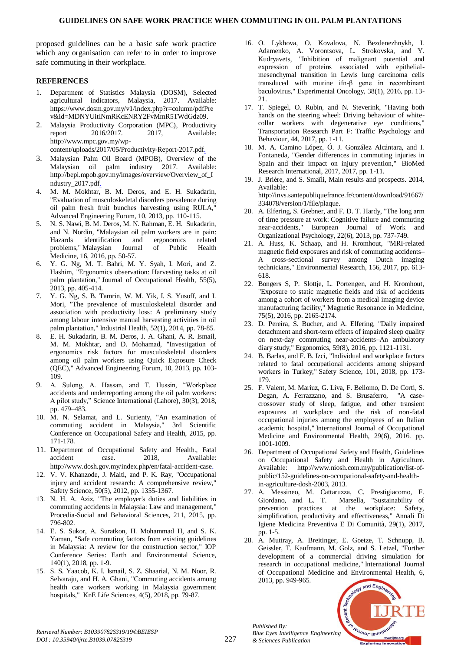proposed guidelines can be a basic safe work practice which any organisation can refer to in order to improve safe commuting in their workplace.

# **REFERENCES**

- 1. Department of Statistics Malaysia (DOSM), Selected agricultural indicators, Malaysia, 2017. Available: https://www.dosm.gov.my/v1/index.php?r=column/pdfPre v&id=MDNYUitINmRKcENRY2FvMmR5TWdGdz09.
- 2. Malaysia Productivity Corporation (MPC), Productivity report 2016/2017. 2017, Available: http://www.mpc.gov.my/wpcontent/uploads/2017/05/Productivity-Report-2017.pdf.
- 3. Malaysian Palm Oil Board (MPOB), Overview of the Malaysian oil palm industry 2017. Available: http://bepi.mpob.gov.my/images/overview/Overview\_of\_I ndustry\_2017.pdf.
- 4. M. M. Mokhtar, B. M. Deros, and E. H. Sukadarin, "Evaluation of musculoskeletal disorders prevalence during oil palm fresh fruit bunches harvesting using RULA," Advanced Engineering Forum, 10, 2013, pp. 110-115.
- 5. N. S. Nawi, B. M. Deros, M. N. Rahman, E. H. Sukadarin, and N. Nordin, "Malaysian oil palm workers are in pain: Hazards identification and ergonomics related problems," Malaysian Journal of Public Health Medicine, 16, 2016, pp. 50-57.
- 6. Y. G. Ng, M. T. Bahri, M. Y. Syah, I. Mori, and Z. Hashim, "Ergonomics observation: Harvesting tasks at oil palm plantation," Journal of Occupational Health, 55(5), 2013, pp. 405-414.
- 7. Y. G. Ng, S. B. Tamrin, W. M. Yik, I. S. Yusoff, and I. Mori, "The prevalence of musculoskeletal disorder and association with productivity loss: A preliminary study among labour intensive manual harvesting activities in oil palm plantation," Industrial Health, 52(1), 2014, pp. 78-85.
- 8. E. H. Sukadarin, B. M. Deros, J. A. Ghani, A. R. Ismail, M. M. Mokhtar, and D. Mohamad, "Investigation of ergonomics risk factors for musculoskeletal disorders among oil palm workers using Quick Exposure Check (QEC)," Advanced Engineering Forum, 10, 2013, pp. 103- 109.
- 9. A. Sulong, A. Hassan, and T. Hussin, "Workplace accidents and underreporting among the oil palm workers: A pilot study," Science International (Lahore), 30(3), 2018, pp. 479–483.
- 10. M. N. Selamat, and L. Surienty, "An examination of commuting accident in Malaysia," 3rd Scientific Conference on Occupational Safety and Health, 2015, pp. 171-178.
- 11. Department of Occupational Safety and Health., Fatal accident case. 2018, Available: http://www.dosh.gov.my/index.php/en/fatal-accident-case.
- 12. V. V. Khanzode, J. Maiti, and P. K. Ray, "Occupational injury and accident research: A comprehensive review," Safety Science, 50(5), 2012, pp. 1355-1367.
- 13. N. H. A. Aziz, "The employer's duties and liabilities in commuting accidents in Malaysia: Law and management," Procedia-Social and Behavioral Sciences, 211, 2015, pp. 796-802.
- 14. E. S. Sukor, A. Suratkon, H. Mohammad H, and S. K. Yaman, "Safe commuting factors from existing guidelines in Malaysia: A review for the construction sector," IOP Conference Series: Earth and Environmental Science, 140(1), 2018, pp. 1-9.
- 15. S. S. Yaacob, K. I. Ismail, S. Z. Shaarial, N. M. Noor, R. Selvaraju, and H. A. Ghani, "Commuting accidents among health care workers working in Malaysia government hospitals," KnE Life Sciences, 4(5), 2018, pp. 79-87.
- 16. O. Lykhova, O. Kovalova, N. Bezdenezhnykh, I. Adamenko, A. Vorontsova, L. Strokovska, and Y. Kudryavets, "Inhibition of malignant potential and expression of proteins associated with epithelialmesenchymal transition in Lewis lung carcinoma cells transduced with murine ifn-β gene in recombinant baculovirus," Experimental Oncology, 38(1), 2016, pp. 13- 21.
- 17. T. Spiegel, O. Rubin, and N. Steverink, "Having both hands on the steering wheel: Driving behaviour of whitecollar workers with degenerative eye conditions," Transportation Research Part F: Traffic Psychology and Behaviour, 44, 2017, pp. 1-11.
- 18. M. A. Camino López, Ó. J. González Alcántara, and I. Fontaneda, "Gender differences in commuting injuries in Spain and their impact on injury prevention," BioMed Research International, 2017, 2017, pp. 1-11.
- 19. J. Brière, and S. Smaïli, Main results and prospects. 2014, Available: http://invs.santepubliquefrance.fr/content/download/91667/

334078/version/1/file/plaque.

- 20. A. Elfering, S. Grebner, and F. D. T. Hardy, "The long arm of time pressure at work: Cognitive failure and commuting near-accidents," European Journal of Work and Organizational Psychology, 22(6), 2013, pp. 737-749.
- 21. A. Huss, K. Schaap, and H. Kromhout, "MRI-related magnetic field exposures and risk of commuting accidents– A cross-sectional survey among Dutch imaging technicians," Environmental Research, 156, 2017, pp. 613- 618.
- 22. Bongers S, P. Slottje, L. Portengen, and H. Kromhout, "Exposure to static magnetic fields and risk of accidents among a cohort of workers from a medical imaging device manufacturing facility," Magnetic Resonance in Medicine, 75(5), 2016, pp. 2165-2174.
- 23. D. Pereira, S. Bucher, and A. Elfering, "Daily impaired detachment and short-term effects of impaired sleep quality on next-day commuting near-accidents–An ambulatory diary study," Ergonomics, 59(8), 2016, pp. 1121-1131.
- 24. B. Barlas, and F. B. Izci, "Individual and workplace factors related to fatal occupational accidents among shipyard workers in Turkey," Safety Science, 101, 2018, pp. 173- 179.
- 25. F. Valent, M. Mariuz, G. Liva, F. Bellomo, D. De Corti, S. Degan, A. Ferrazzano, and S. Brusaferro, "A casecrossover study of sleep, fatigue, and other transient exposures at workplace and the risk of non-fatal occupational injuries among the employees of an Italian academic hospital," International Journal of Occupational Medicine and Environmental Health, 29(6), 2016. pp. 1001-1009.
- 26. Department of Occupational Safety and Health, Guidelines on Occupational Safety and Health in Agriculture. Available: http://www.niosh.com.my/publication/list-ofpublic/152-guidelines-on-occupational-safety-and-healthin-agriculture-dosh-2003, 2013.
- 27. A. Messineo, M. Cattaruzza, C. Prestigiacomo, F. Giordano, and L. T. Marsella, "Sustainability of prevention practices at the workplace: Safety, simplification, productivity and effectiveness," Annali Di Igiene Medicina Preventiva E Di Comunità, 29(1), 2017, pp. 1-5.
- 28. A. Muttray, A. Breitinger, E. Goetze, T. Schnupp, B. Geissler, T. Kaufmann, M. Golz, and S. Letzel, "Further development of a commercial driving simulation for research in occupational medicine," International Journal of Occupational Medicine and Environmental Health, 6, 2013, pp. 949-965.



*Published By:*